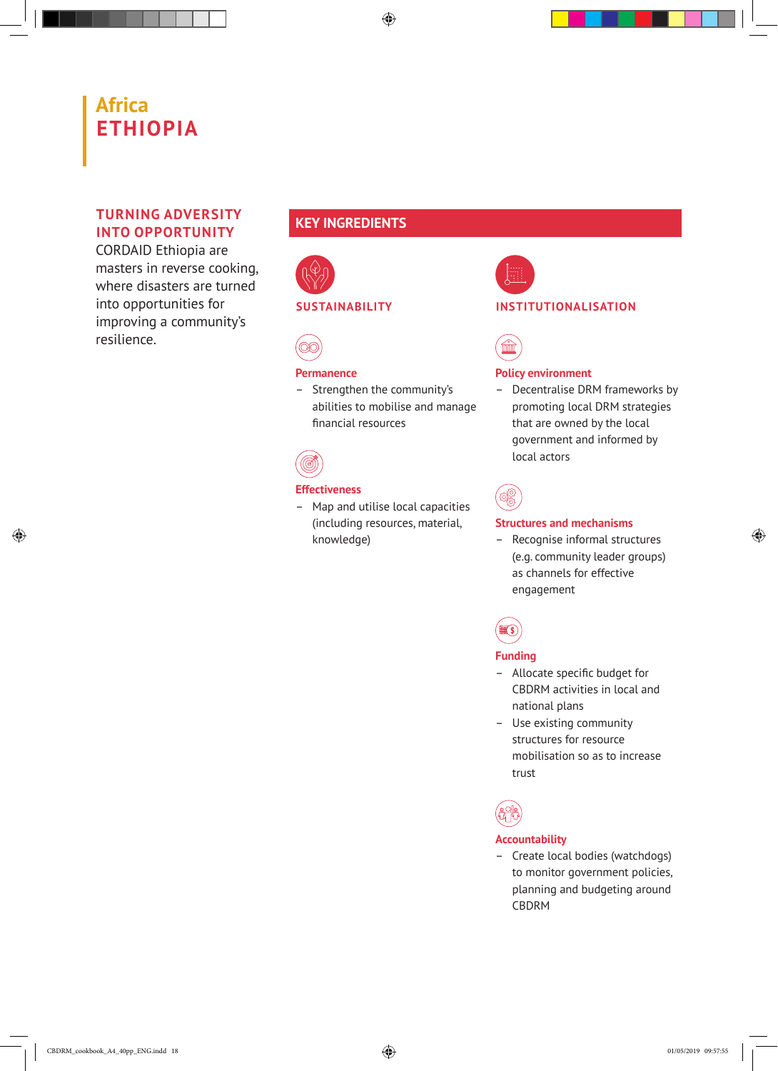# **Africa ETHIOPIA**

### **TURNING ADVERSITY INTO OPPORTUNITY**

CORDAID Ethiopia are masters in reverse cooking, where disasters are turned into opportunities for improving a community's resilience.

## **KEY INGREDIENTS**



#### **SUSTAINABILITY**



#### **Permanence**

– Strengthen the community's abilities to mobilise and manage financial resources



#### **Effectiveness**

– Map and utilise local capacities (including resources, material, knowledge)



#### **INSTITUTIONALISATION**



#### **Policy environment**

– Decentralise DRM frameworks by promoting local DRM strategies that are owned by the local government and informed by local actors



#### **Structures and mechanisms**

– Recognise informal structures (e.g. community leader groups) as channels for effective engagement



#### **Funding**

- Allocate specific budget for CBDRM activities in local and national plans
- Use existing community structures for resource mobilisation so as to increase trust



#### **Accountability**

– Create local bodies (watchdogs) to monitor government policies, planning and budgeting around CBDRM